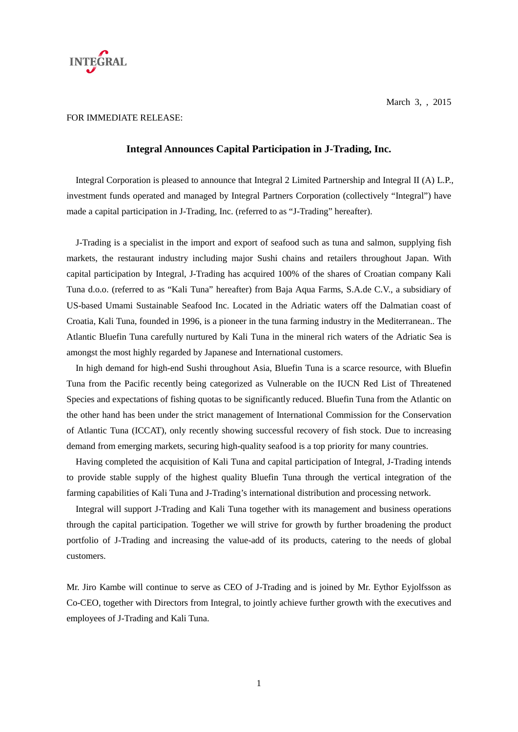

## FOR IMMEDIATE RELEASE:

## **Integral Announces Capital Participation in J-Trading, Inc.**

Integral Corporation is pleased to announce that Integral 2 Limited Partnership and Integral II (A) L.P., investment funds operated and managed by Integral Partners Corporation (collectively "Integral") have made a capital participation in J-Trading, Inc. (referred to as "J-Trading" hereafter).

J-Trading is a specialist in the import and export of seafood such as tuna and salmon, supplying fish markets, the restaurant industry including major Sushi chains and retailers throughout Japan. With capital participation by Integral, J-Trading has acquired 100% of the shares of Croatian company Kali Tuna d.o.o. (referred to as "Kali Tuna" hereafter) from Baja Aqua Farms, S.A.de C.V., a subsidiary of US-based Umami Sustainable Seafood Inc. Located in the Adriatic waters off the Dalmatian coast of Croatia, Kali Tuna, founded in 1996, is a pioneer in the tuna farming industry in the Mediterranean.. The Atlantic Bluefin Tuna carefully nurtured by Kali Tuna in the mineral rich waters of the Adriatic Sea is amongst the most highly regarded by Japanese and International customers.

 In high demand for high-end Sushi throughout Asia, Bluefin Tuna is a scarce resource, with Bluefin Tuna from the Pacific recently being categorized as Vulnerable on the IUCN Red List of Threatened Species and expectations of fishing quotas to be significantly reduced. Bluefin Tuna from the Atlantic on the other hand has been under the strict management of International Commission for the Conservation of Atlantic Tuna (ICCAT), only recently showing successful recovery of fish stock. Due to increasing demand from emerging markets, securing high-quality seafood is a top priority for many countries.

Having completed the acquisition of Kali Tuna and capital participation of Integral, J-Trading intends to provide stable supply of the highest quality Bluefin Tuna through the vertical integration of the farming capabilities of Kali Tuna and J-Trading's international distribution and processing network.

 Integral will support J-Trading and Kali Tuna together with its management and business operations through the capital participation. Together we will strive for growth by further broadening the product portfolio of J-Trading and increasing the value-add of its products, catering to the needs of global customers.

Mr. Jiro Kambe will continue to serve as CEO of J-Trading and is joined by Mr. Eythor Eyjolfsson as Co-CEO, together with Directors from Integral, to jointly achieve further growth with the executives and employees of J-Trading and Kali Tuna.